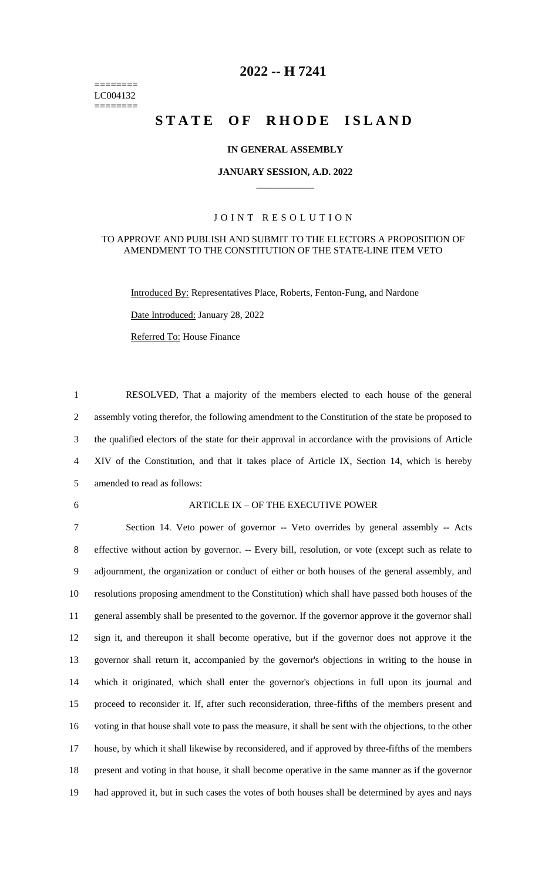======== LC004132 ========

# **-- H 7241**

# STATE OF RHODE ISLAND

## **IN GENERAL ASSEMBLY**

### **JANUARY SESSION, A.D. 2022 \_\_\_\_\_\_\_\_\_\_\_\_**

## JOINT RESOLUTION

### TO APPROVE AND PUBLISH AND SUBMIT TO THE ELECTORS A PROPOSITION OF AMENDMENT TO THE CONSTITUTION OF THE STATE-LINE ITEM VETO

Introduced By: Representatives Place, Roberts, Fenton-Fung, and Nardone

Date Introduced: January 28, 2022

Referred To: House Finance

 RESOLVED, That a majority of the members elected to each house of the general assembly voting therefor, the following amendment to the Constitution of the state be proposed to the qualified electors of the state for their approval in accordance with the provisions of Article XIV of the Constitution, and that it takes place of Article IX, Section 14, which is hereby amended to read as follows:

### ARTICLE IX – OF THE EXECUTIVE POWER

 Section 14. Veto power of governor -- Veto overrides by general assembly -- Acts effective without action by governor. -- Every bill, resolution, or vote (except such as relate to adjournment, the organization or conduct of either or both houses of the general assembly, and resolutions proposing amendment to the Constitution) which shall have passed both houses of the general assembly shall be presented to the governor. If the governor approve it the governor shall sign it, and thereupon it shall become operative, but if the governor does not approve it the governor shall return it, accompanied by the governor's objections in writing to the house in which it originated, which shall enter the governor's objections in full upon its journal and proceed to reconsider it. If, after such reconsideration, three-fifths of the members present and voting in that house shall vote to pass the measure, it shall be sent with the objections, to the other house, by which it shall likewise by reconsidered, and if approved by three-fifths of the members present and voting in that house, it shall become operative in the same manner as if the governor had approved it, but in such cases the votes of both houses shall be determined by ayes and nays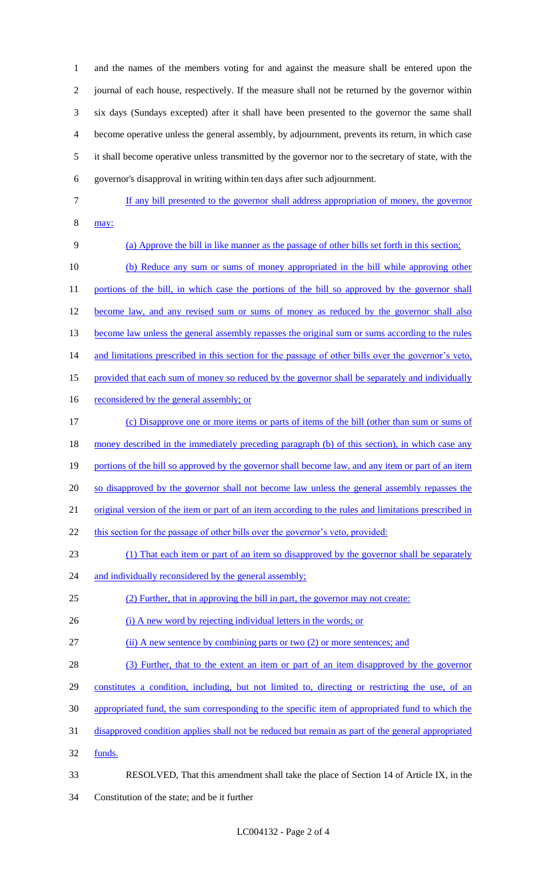and the names of the members voting for and against the measure shall be entered upon the journal of each house, respectively. If the measure shall not be returned by the governor within six days (Sundays excepted) after it shall have been presented to the governor the same shall become operative unless the general assembly, by adjournment, prevents its return, in which case it shall become operative unless transmitted by the governor nor to the secretary of state, with the governor's disapproval in writing within ten days after such adjournment.

- 
- 7 If any bill presented to the governor shall address appropriation of money, the governor 8 may:
- 

9 (a) Approve the bill in like manner as the passage of other bills set forth in this section; 10 (b) Reduce any sum or sums of money appropriated in the bill while approving other 11 portions of the bill, in which case the portions of the bill so approved by the governor shall 12 become law, and any revised sum or sums of money as reduced by the governor shall also 13 become law unless the general assembly repasses the original sum or sums according to the rules 14 and limitations prescribed in this section for the passage of other bills over the governor's veto, 15 provided that each sum of money so reduced by the governor shall be separately and individually 16 reconsidered by the general assembly; or 17 (c) Disapprove one or more items or parts of items of the bill (other than sum or sums of 18 money described in the immediately preceding paragraph (b) of this section), in which case any 19 portions of the bill so approved by the governor shall become law, and any item or part of an item 20 so disapproved by the governor shall not become law unless the general assembly repasses the 21 original version of the item or part of an item according to the rules and limitations prescribed in 22 this section for the passage of other bills over the governor's veto, provided: 23 (1) That each item or part of an item so disapproved by the governor shall be separately 24 and individually reconsidered by the general assembly; 25 (2) Further, that in approving the bill in part, the governor may not create: 26 (i) A new word by rejecting individual letters in the words; or 27 (ii) A new sentence by combining parts or two (2) or more sentences; and 28 (3) Further, that to the extent an item or part of an item disapproved by the governor 29 constitutes a condition, including, but not limited to, directing or restricting the use, of an 30 appropriated fund, the sum corresponding to the specific item of appropriated fund to which the 31 disapproved condition applies shall not be reduced but remain as part of the general appropriated 32 funds. 33 RESOLVED, That this amendment shall take the place of Section 14 of Article IX, in the 34 Constitution of the state; and be it further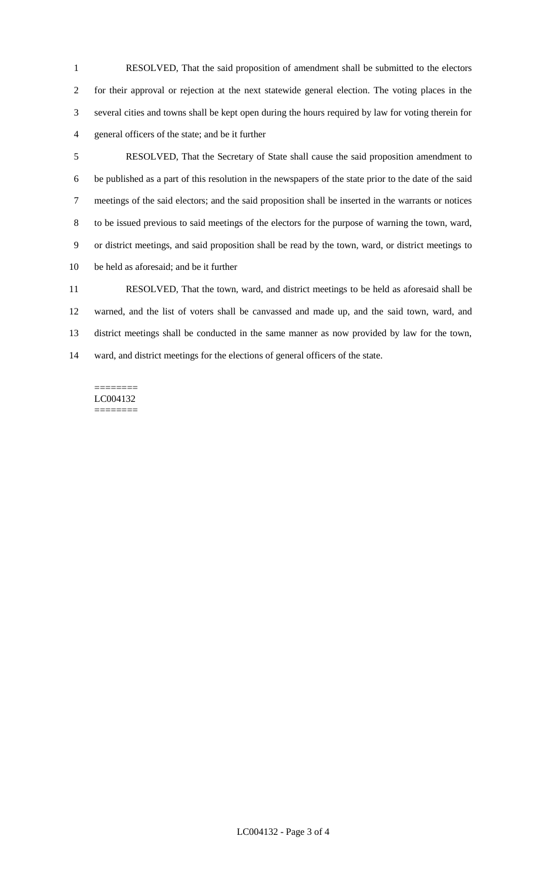RESOLVED, That the said proposition of amendment shall be submitted to the electors for their approval or rejection at the next statewide general election. The voting places in the several cities and towns shall be kept open during the hours required by law for voting therein for general officers of the state; and be it further

 RESOLVED, That the Secretary of State shall cause the said proposition amendment to be published as a part of this resolution in the newspapers of the state prior to the date of the said meetings of the said electors; and the said proposition shall be inserted in the warrants or notices to be issued previous to said meetings of the electors for the purpose of warning the town, ward, or district meetings, and said proposition shall be read by the town, ward, or district meetings to be held as aforesaid; and be it further

 RESOLVED, That the town, ward, and district meetings to be held as aforesaid shall be warned, and the list of voters shall be canvassed and made up, and the said town, ward, and district meetings shall be conducted in the same manner as now provided by law for the town, ward, and district meetings for the elections of general officers of the state.

#### ======== LC004132 ========